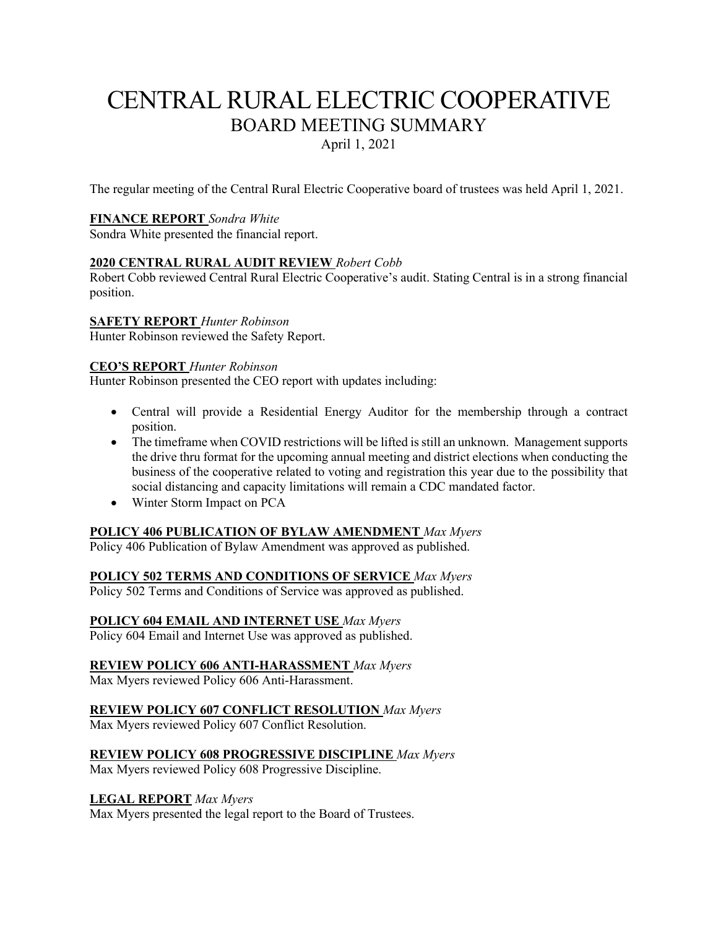# CENTRAL RURAL ELECTRIC COOPERATIVE BOARD MEETING SUMMARY April 1, 2021

The regular meeting of the Central Rural Electric Cooperative board of trustees was held April 1, 2021.

#### **FINANCE REPORT** *Sondra White*

Sondra White presented the financial report.

#### **2020 CENTRAL RURAL AUDIT REVIEW** *Robert Cobb*

Robert Cobb reviewed Central Rural Electric Cooperative's audit. Stating Central is in a strong financial position.

#### **SAFETY REPORT** *Hunter Robinson*

Hunter Robinson reviewed the Safety Report.

#### **CEO'S REPORT** *Hunter Robinson*

Hunter Robinson presented the CEO report with updates including:

- Central will provide a Residential Energy Auditor for the membership through a contract position.
- The timeframe when COVID restrictions will be lifted is still an unknown. Management supports the drive thru format for the upcoming annual meeting and district elections when conducting the business of the cooperative related to voting and registration this year due to the possibility that social distancing and capacity limitations will remain a CDC mandated factor.
- Winter Storm Impact on PCA

## **POLICY 406 PUBLICATION OF BYLAW AMENDMENT** *Max Myers*

Policy 406 Publication of Bylaw Amendment was approved as published.

**POLICY 502 TERMS AND CONDITIONS OF SERVICE** *Max Myers*

Policy 502 Terms and Conditions of Service was approved as published.

## **POLICY 604 EMAIL AND INTERNET USE** *Max Myers*

Policy 604 Email and Internet Use was approved as published.

## **REVIEW POLICY 606 ANTI-HARASSMENT** *Max Myers*

Max Myers reviewed Policy 606 Anti-Harassment.

# **REVIEW POLICY 607 CONFLICT RESOLUTION** *Max Myers*

Max Myers reviewed Policy 607 Conflict Resolution.

# **REVIEW POLICY 608 PROGRESSIVE DISCIPLINE** *Max Myers*

Max Myers reviewed Policy 608 Progressive Discipline.

## **LEGAL REPORT** *Max Myers*

Max Myers presented the legal report to the Board of Trustees.